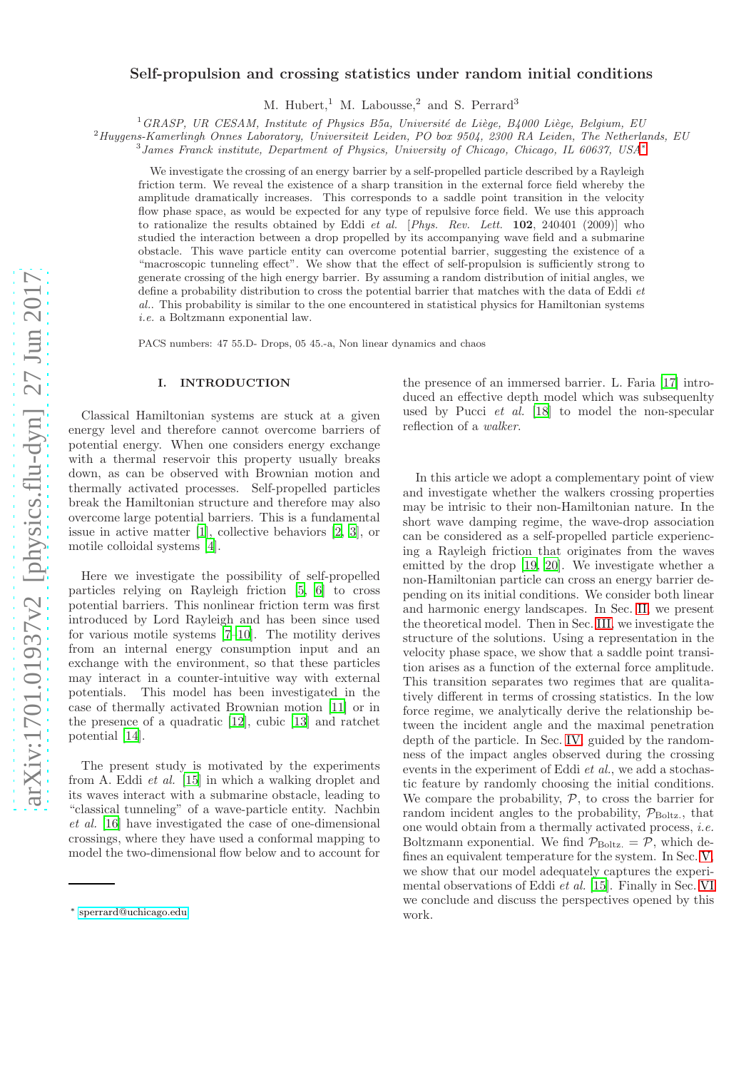# $arXiv:1701.01937v2$  [physics.flu-dyn] 27 Jun 2017 [arXiv:1701.01937v2 \[physics.flu-dyn\] 27 Jun 2017](http://arxiv.org/abs/1701.01937v2)

# Self-propulsion and crossing statistics under random initial conditions

M. Hubert,<sup>1</sup> M. Labousse,<sup>2</sup> and S. Perrard<sup>3</sup>

<sup>1</sup>GRASP, UR CESAM, Institute of Physics B5a, Université de Liège, B4000 Liège, Belgium, EU

 $2$ Huygens-Kamerlingh Onnes Laboratory, Universiteit Leiden, PO box 9504, 2300 RA Leiden, The Netherlands, EU

<sup>3</sup> James Franck institute, Department of Physics, University of Chicago, Chicago, IL 60637, USA<sup>\*</sup>

We investigate the crossing of an energy barrier by a self-propelled particle described by a Rayleigh friction term. We reveal the existence of a sharp transition in the external force field whereby the amplitude dramatically increases. This corresponds to a saddle point transition in the velocity flow phase space, as would be expected for any type of repulsive force field. We use this approach to rationalize the results obtained by Eddi et al. [Phys. Rev. Lett.  $102$ , 240401 (2009)] who studied the interaction between a drop propelled by its accompanying wave field and a submarine obstacle. This wave particle entity can overcome potential barrier, suggesting the existence of a "macroscopic tunneling effect". We show that the effect of self-propulsion is sufficiently strong to generate crossing of the high energy barrier. By assuming a random distribution of initial angles, we define a probability distribution to cross the potential barrier that matches with the data of Eddi et al.. This probability is similar to the one encountered in statistical physics for Hamiltonian systems i.e. a Boltzmann exponential law.

PACS numbers: 47 55.D- Drops, 05 45.-a, Non linear dynamics and chaos

# I. INTRODUCTION

Classical Hamiltonian systems are stuck at a given energy level and therefore cannot overcome barriers of potential energy. When one considers energy exchange with a thermal reservoir this property usually breaks down, as can be observed with Brownian motion and thermally activated processes. Self-propelled particles break the Hamiltonian structure and therefore may also overcome large potential barriers. This is a fundamental issue in active matter [\[1\]](#page-5-0), collective behaviors [\[2,](#page-5-1) [3](#page-5-2)], or motile colloidal systems [\[4](#page-5-3)].

Here we investigate the possibility of self-propelled particles relying on Rayleigh friction [\[5,](#page-5-4) [6\]](#page-5-5) to cross potential barriers. This nonlinear friction term was first introduced by Lord Rayleigh and has been since used for various motile systems [\[7](#page-5-6)[–10\]](#page-5-7). The motility derives from an internal energy consumption input and an exchange with the environment, so that these particles may interact in a counter-intuitive way with external potentials. This model has been investigated in the case of thermally activated Brownian motion [\[11\]](#page-5-8) or in the presence of a quadratic [\[12\]](#page-5-9), cubic [\[13](#page-5-10)] and ratchet potential [\[14\]](#page-6-0).

The present study is motivated by the experiments from A. Eddi et al. [\[15](#page-6-1)] in which a walking droplet and its waves interact with a submarine obstacle, leading to "classical tunneling" of a wave-particle entity. Nachbin et al. [\[16\]](#page-6-2) have investigated the case of one-dimensional crossings, where they have used a conformal mapping to model the two-dimensional flow below and to account for the presence of an immersed barrier. L. Faria [\[17\]](#page-6-3) introduced an effective depth model which was subsequenlty used by Pucci et al. [\[18\]](#page-6-4) to model the non-specular reflection of a walker.

In this article we adopt a complementary point of view and investigate whether the walkers crossing properties may be intrisic to their non-Hamiltonian nature. In the short wave damping regime, the wave-drop association can be considered as a self-propelled particle experiencing a Rayleigh friction that originates from the waves emitted by the drop [\[19,](#page-6-5) [20](#page-6-6)]. We investigate whether a non-Hamiltonian particle can cross an energy barrier depending on its initial conditions. We consider both linear and harmonic energy landscapes. In Sec. [II,](#page-1-0) we present the theoretical model. Then in Sec. [III,](#page-1-1) we investigate the structure of the solutions. Using a representation in the velocity phase space, we show that a saddle point transition arises as a function of the external force amplitude. This transition separates two regimes that are qualitatively different in terms of crossing statistics. In the low force regime, we analytically derive the relationship between the incident angle and the maximal penetration depth of the particle. In Sec. [IV,](#page-3-0) guided by the randomness of the impact angles observed during the crossing events in the experiment of Eddi et al., we add a stochastic feature by randomly choosing the initial conditions. We compare the probability,  $P$ , to cross the barrier for random incident angles to the probability,  $\mathcal{P}_{\text{Boltz}}$ , that one would obtain from a thermally activated process, *i.e.* Boltzmann exponential. We find  $P_{Boltz.} = P$ , which defines an equivalent temperature for the system. In Sec. [V,](#page-4-0) we show that our model adequately captures the experimental observations of Eddi et al. [\[15\]](#page-6-1). Finally in Sec. [VI](#page-5-11) we conclude and discuss the perspectives opened by this work.

<span id="page-0-0"></span><sup>∗</sup> [sperrard@uchicago.edu](mailto:sperrard@uchicago.edu)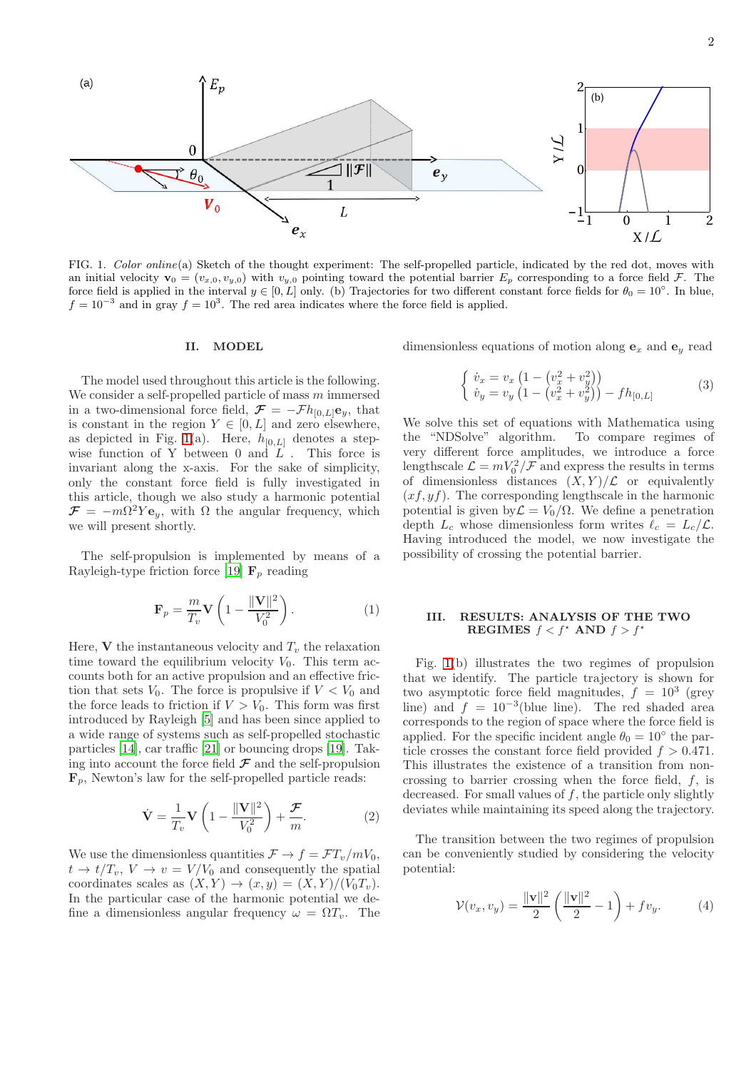

<span id="page-1-2"></span>FIG. 1. Color online(a) Sketch of the thought experiment: The self-propelled particle, indicated by the red dot, moves with an initial velocity  $\mathbf{v}_0 = (v_{x,0}, v_{y,0})$  with  $v_{y,0}$  pointing toward the potential barrier  $E_p$  corresponding to a force field F. The force field is applied in the interval  $y \in [0, L]$  only. (b) Trajectories for two different constant force fields for  $\theta_0 = 10^\circ$ . In blue,  $f = 10^{-3}$  and in gray  $f = 10^{3}$ . The red area indicates where the force field is applied.

## <span id="page-1-0"></span>II. MODEL

The model used throughout this article is the following. We consider a self-propelled particle of mass  $m$  immersed in a two-dimensional force field,  $\mathcal{F} = -\mathcal{F}h_{[0,L]}\mathbf{e}_y$ , that is constant in the region  $Y \in [0, L]$  and zero elsewhere, as depicted in Fig. [1\(](#page-1-2)a). Here,  $h_{[0,L]}$  denotes a stepwise function of Y between 0 and  $L$ . This force is invariant along the x-axis. For the sake of simplicity, only the constant force field is fully investigated in this article, though we also study a harmonic potential  $\mathcal{F} = -m\Omega^2 Y \mathbf{e}_y$ , with  $\Omega$  the angular frequency, which we will present shortly.

The self-propulsion is implemented by means of a Rayleigh-type friction force [\[19\]](#page-6-5)  $\mathbf{F}_p$  reading

$$
\mathbf{F}_p = \frac{m}{T_v} \mathbf{V} \left( 1 - \frac{\|\mathbf{V}\|^2}{V_0^2} \right). \tag{1}
$$

Here, V the instantaneous velocity and  $T<sub>v</sub>$  the relaxation time toward the equilibrium velocity  $V_0$ . This term accounts both for an active propulsion and an effective friction that sets  $V_0$ . The force is propulsive if  $V < V_0$  and the force leads to friction if  $V > V_0$ . This form was first introduced by Rayleigh [\[5\]](#page-5-4) and has been since applied to a wide range of systems such as self-propelled stochastic particles [\[14\]](#page-6-0), car traffic [\[21](#page-6-7)] or bouncing drops [\[19\]](#page-6-5). Taking into account the force field  $\mathcal F$  and the self-propulsion  $\mathbf{F}_p$ , Newton's law for the self-propelled particle reads:

<span id="page-1-4"></span>
$$
\dot{\mathbf{V}} = \frac{1}{T_v} \mathbf{V} \left( 1 - \frac{\|\mathbf{V}\|^2}{V_0^2} \right) + \frac{\mathcal{F}}{m}.
$$
 (2)

We use the dimensionless quantities  $\mathcal{F} \to f = \mathcal{F}T_v/mV_0$ ,  $t \to t/T_v$ ,  $V \to v = V/V_0$  and consequently the spatial coordinates scales as  $(X, Y) \rightarrow (x, y) = (X, Y) / (V_0 T_v)$ . In the particular case of the harmonic potential we define a dimensionless angular frequency  $\omega = \Omega T_v$ . The

dimensionless equations of motion along  $e_x$  and  $e_y$  read

<span id="page-1-3"></span>
$$
\begin{cases} \n\dot{v}_x = v_x \left( 1 - \left( v_x^2 + v_y^2 \right) \right) \\ \n\dot{v}_y = v_y \left( 1 - \left( v_x^2 + v_y^2 \right) \right) - f h_{[0,L]} \n\end{cases} \tag{3}
$$

We solve this set of equations with Mathematica using the "NDSolve" algorithm. To compare regimes of very different force amplitudes, we introduce a force lengthscale  $\mathcal{L} = mV_0^2/\mathcal{F}$  and express the results in terms of dimensionless distances  $(X, Y)/\mathcal{L}$  or equivalently  $(xf, yf)$ . The corresponding lengthscale in the harmonic potential is given by  $\mathcal{L} = V_0/\Omega$ . We define a penetration depth  $L_c$  whose dimensionless form writes  $\ell_c = L_c/\mathcal{L}$ . Having introduced the model, we now investigate the possibility of crossing the potential barrier.

# <span id="page-1-1"></span>III. RESULTS: ANALYSIS OF THE TWO REGIMES  $f < f^*$  AND  $f > f^*$

Fig. [1\(](#page-1-2)b) illustrates the two regimes of propulsion that we identify. The particle trajectory is shown for two asymptotic force field magnitudes,  $f = 10^3$  (grey line) and  $f = 10^{-3}$ (blue line). The red shaded area corresponds to the region of space where the force field is applied. For the specific incident angle  $\theta_0 = 10^{\circ}$  the particle crosses the constant force field provided  $f > 0.471$ . This illustrates the existence of a transition from noncrossing to barrier crossing when the force field,  $f$ , is decreased. For small values of  $f$ , the particle only slightly deviates while maintaining its speed along the trajectory.

The transition between the two regimes of propulsion can be conveniently studied by considering the velocity potential:

$$
\mathcal{V}(v_x, v_y) = \frac{\|\mathbf{v}\|^2}{2} \left( \frac{\|\mathbf{v}\|^2}{2} - 1 \right) + f v_y.
$$
 (4)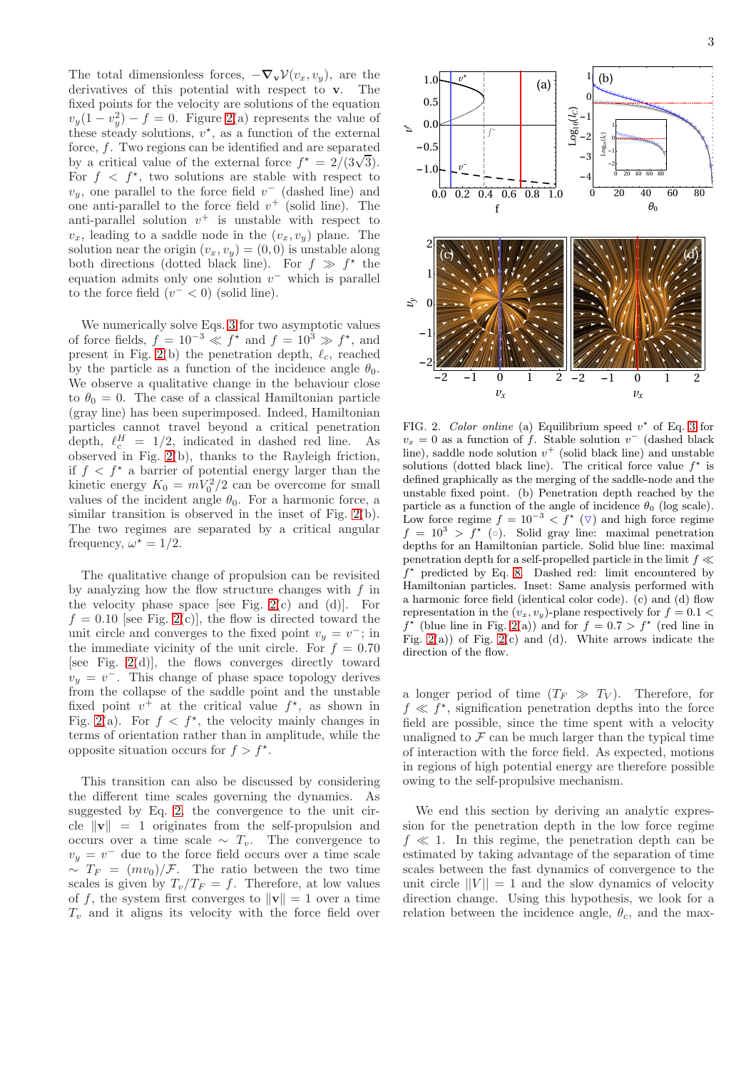The total dimensionless forces,  $-\nabla_{\mathbf{v}}\mathcal{V}(v_x, v_y)$ , are the derivatives of this potential with respect to v. The fixed points for the velocity are solutions of the equation  $v_y(1-v_y^2)-f=0$ . Figure [2\(](#page-2-0)a) represents the value of these steady solutions,  $v^*$ , as a function of the external force, f. Two regions can be identified and are separated by a critical value of the external force  $f^* = 2/(3\sqrt{3})$ . For  $f \leq f^*$ , two solutions are stable with respect to  $v_y$ , one parallel to the force field  $v^-$  (dashed line) and one anti-parallel to the force field  $v^+$  (solid line). The anti-parallel solution  $v^+$  is unstable with respect to  $v_x$ , leading to a saddle node in the  $(v_x, v_y)$  plane. The solution near the origin  $(v_x, v_y) = (0, 0)$  is unstable along both directions (dotted black line). For  $f \gg f^*$  the equation admits only one solution  $v^-$  which is parallel to the force field  $(v^{-} < 0)$  (solid line).

We numerically solve Eqs. [3](#page-1-3) for two asymptotic values of force fields,  $f = 10^{-3} \ll f^*$  and  $f = 10^3 \gg f^*$ , and present in Fig. [2\(](#page-2-0)b) the penetration depth,  $\ell_c$ , reached by the particle as a function of the incidence angle  $\theta_0$ . We observe a qualitative change in the behaviour close to  $\theta_0 = 0$ . The case of a classical Hamiltonian particle (gray line) has been superimposed. Indeed, Hamiltonian particles cannot travel beyond a critical penetration depth,  $\ell_c^H = 1/2$ , indicated in dashed red line. As observed in Fig. [2\(](#page-2-0)b), thanks to the Rayleigh friction, if  $f \, \langle \, f^* \rangle$  a barrier of potential energy larger than the kinetic energy  $K_0 = mV_0^2/2$  can be overcome for small values of the incident angle  $\theta_0$ . For a harmonic force, a similar transition is observed in the inset of Fig. [2\(](#page-2-0)b). The two regimes are separated by a critical angular frequency,  $\omega^* = 1/2$ .

The qualitative change of propulsion can be revisited by analyzing how the flow structure changes with  $f$  in the velocity phase space [see Fig.  $2(c)$  $2(c)$  and (d)]. For  $f = 0.10$  [see Fig. [2\(](#page-2-0)c)], the flow is directed toward the unit circle and converges to the fixed point  $v_y = v^-$ ; in the immediate vicinity of the unit circle. For  $f = 0.70$ [see Fig. [2\(](#page-2-0)d)], the flows converges directly toward  $v_y = v^{\text{+}}$ . This change of phase space topology derives from the collapse of the saddle point and the unstable fixed point  $v^+$  at the critical value  $f^*$ , as shown in Fig. [2\(](#page-2-0)a). For  $f < f^*$ , the velocity mainly changes in terms of orientation rather than in amplitude, while the opposite situation occurs for  $f > f^*$ .

This transition can also be discussed by considering the different time scales governing the dynamics. As suggested by Eq. [2,](#page-1-4) the convergence to the unit circle  $\|\mathbf{v}\| = 1$  originates from the self-propulsion and occurs over a time scale  $\sim T_v$ . The convergence to  $v_y = v^-$  due to the force field occurs over a time scale  $~ \sim T_F = (mv_0)/\mathcal{F}$ . The ratio between the two time scales is given by  $T_v/T_F = f$ . Therefore, at low values of f, the system first converges to  $||\mathbf{v}|| = 1$  over a time  $T_v$  and it aligns its velocity with the force field over 3



<span id="page-2-0"></span>FIG. 2. Color online (a) Equilibrium speed  $v^*$  of Eq. [3](#page-1-3) for  $v_x = 0$  as a function of f. Stable solution  $v^{-}$  (dashed black line), saddle node solution  $v^+$  (solid black line) and unstable solutions (dotted black line). The critical force value  $f^*$  is defined graphically as the merging of the saddle-node and the unstable fixed point. (b) Penetration depth reached by the particle as a function of the angle of incidence  $\theta_0$  (log scale). Low force regime  $f = 10^{-3} < f^*$  ( $\triangledown$ ) and high force regime  $f = 10^3 > f^*$  ( $\circ$ ). Solid gray line: maximal penetration depths for an Hamiltonian particle. Solid blue line: maximal penetration depth for a self-propelled particle in the limit  $f \ll$  $f^*$  predicted by Eq. [8.](#page-3-1) Dashed red: limit encountered by Hamiltonian particles. Inset: Same analysis performed with a harmonic force field (identical color code). (c) and (d) flow representation in the  $(v_x, v_y)$ -plane respectively for  $f = 0.1$  <  $f^*$  (blue line in Fig. [2\(](#page-2-0)a)) and for  $f = 0.7 > f^*$  (red line in Fig.  $2(a)$  of Fig.  $2(c)$  and  $(d)$ . White arrows indicate the direction of the flow.

a longer period of time  $(T_F \gg T_V)$ . Therefore, for  $f \ll f^*$ , signification penetration depths into the force field are possible, since the time spent with a velocity unaligned to  $\mathcal F$  can be much larger than the typical time of interaction with the force field. As expected, motions in regions of high potential energy are therefore possible owing to the self-propulsive mechanism.

We end this section by deriving an analytic expression for the penetration depth in the low force regime  $f \ll 1$ . In this regime, the penetration depth can be estimated by taking advantage of the separation of time scales between the fast dynamics of convergence to the unit circle  $||V|| = 1$  and the slow dynamics of velocity direction change. Using this hypothesis, we look for a relation between the incidence angle,  $\theta_c$ , and the max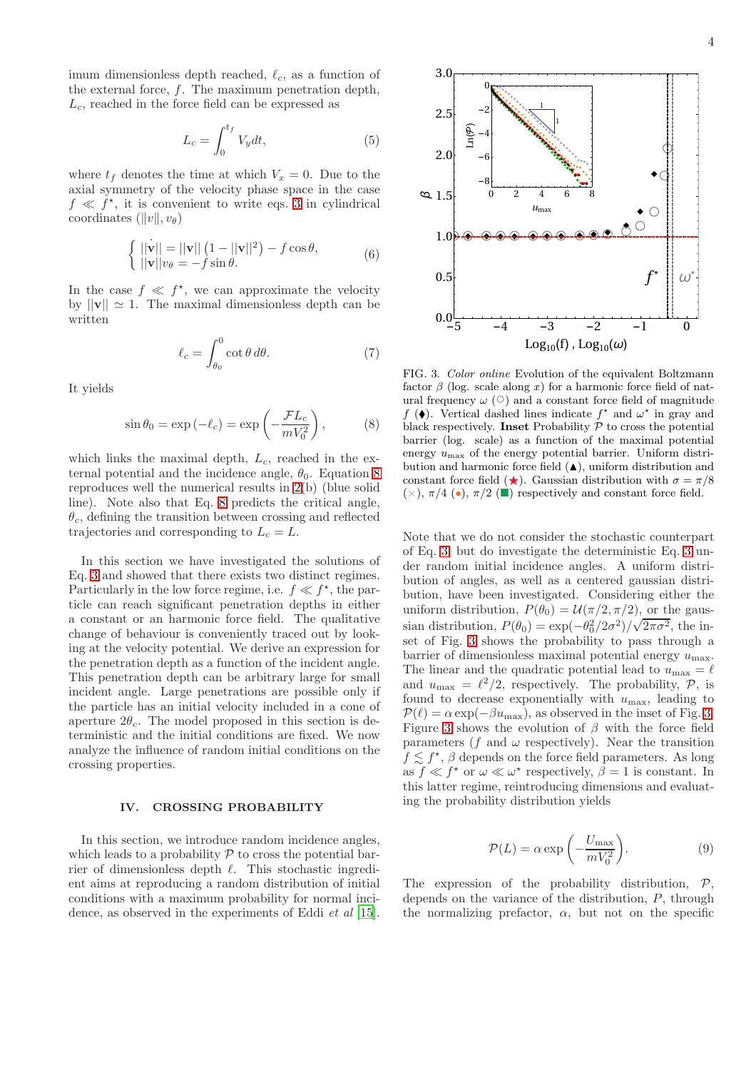imum dimensionless depth reached,  $\ell_c$ , as a function of the external force,  $f$ . The maximum penetration depth,  $L_c$ , reached in the force field can be expressed as

$$
L_c = \int_0^{t_f} V_y dt,\tag{5}
$$

where  $t_f$  denotes the time at which  $V_x = 0$ . Due to the axial symmetry of the velocity phase space in the case  $f \ll f^*$ , it is convenient to write eqs. [3](#page-1-3) in cylindrical coordinates  $(\Vert v \Vert, v_{\theta})$ 

$$
\begin{cases} ||\mathbf{v}|| = ||\mathbf{v}|| (1 - ||\mathbf{v}||^2) - f \cos \theta, \\ ||\mathbf{v}||v_{\theta} = -f \sin \theta. \end{cases} (6)
$$

In the case  $f \ll f^*$ , we can approximate the velocity by  $||\mathbf{v}|| \approx 1$ . The maximal dimensionless depth can be written

$$
\ell_c = \int_{\theta_0}^0 \cot \theta \, d\theta. \tag{7}
$$

It yields

<span id="page-3-1"></span>
$$
\sin \theta_0 = \exp(-\ell_c) = \exp\left(-\frac{\mathcal{F}L_c}{mV_0^2}\right),\tag{8}
$$

which links the maximal depth,  $L_c$ , reached in the external potential and the incidence angle,  $\theta_0$ . Equation [8](#page-3-1) reproduces well the numerical results in [2\(](#page-2-0)b) (blue solid line). Note also that Eq. [8](#page-3-1) predicts the critical angle,  $\theta_c$ , defining the transition between crossing and reflected trajectories and corresponding to  $L_c = L$ .

In this section we have investigated the solutions of Eq. [3](#page-1-3) and showed that there exists two distinct regimes. Particularly in the low force regime, i.e.  $f \ll f^*$ , the particle can reach significant penetration depths in either a constant or an harmonic force field. The qualitative change of behaviour is conveniently traced out by looking at the velocity potential. We derive an expression for the penetration depth as a function of the incident angle. This penetration depth can be arbitrary large for small incident angle. Large penetrations are possible only if the particle has an initial velocity included in a cone of aperture  $2\theta_c$ . The model proposed in this section is deterministic and the initial conditions are fixed. We now analyze the influence of random initial conditions on the crossing properties.

### <span id="page-3-0"></span>IV. CROSSING PROBABILITY

In this section, we introduce random incidence angles, which leads to a probability  $P$  to cross the potential barrier of dimensionless depth  $\ell$ . This stochastic ingredient aims at reproducing a random distribution of initial conditions with a maximum probability for normal incidence, as observed in the experiments of Eddi *et al* [\[15\]](#page-6-1).



<span id="page-3-2"></span>FIG. 3. Color online Evolution of the equivalent Boltzmann factor  $\beta$  (log. scale along x) for a harmonic force field of natural frequency  $\omega$  ( $\circ$ ) and a constant force field of magnitude  $f(\bullet)$ . Vertical dashed lines indicate  $f^*$  and  $\omega^*$  in gray and black respectively. Inset Probability  $P$  to cross the potential barrier (log. scale) as a function of the maximal potential energy  $u_{\text{max}}$  of the energy potential barrier. Uniform distribution and harmonic force field  $(\triangle)$ , uniform distribution and constant force field  $(\star)$ . Gaussian distribution with  $\sigma = \pi/8$  $(\times)$ ,  $\pi/4$  (•),  $\pi/2$  (■) respectively and constant force field.

Note that we do not consider the stochastic counterpart of Eq. [3,](#page-1-3) but do investigate the deterministic Eq. [3](#page-1-3) under random initial incidence angles. A uniform distribution of angles, as well as a centered gaussian distribution, have been investigated. Considering either the uniform distribution,  $P(\theta_0) = \mathcal{U}(\pi/2, \pi/2)$ , or the gaussian distribution,  $P(\theta_0) = \exp(-\theta_0^2/2\sigma^2)/\sqrt{2\pi\sigma^2}$ , the inset of Fig. [3](#page-3-2) shows the probability to pass through a barrier of dimensionless maximal potential energy  $u_{\text{max}}$ . The linear and the quadratic potential lead to  $u_{\text{max}} = \ell$ and  $u_{\text{max}} = \ell^2/2$ , respectively. The probability,  $\mathcal{P}$ , is found to decrease exponentially with  $u_{\text{max}}$ , leading to  $P(\ell) = \alpha \exp(-\beta u_{\text{max}})$ , as observed in the inset of Fig. [3.](#page-3-2) Figure [3](#page-3-2) shows the evolution of  $\beta$  with the force field parameters ( $f$  and  $\omega$  respectively). Near the transition  $f \lesssim f^{\star}, \beta$  depends on the force field parameters. As long as  $f \ll f^*$  or  $\omega \ll \omega^*$  respectively,  $\beta = 1$  is constant. In this latter regime, reintroducing dimensions and evaluating the probability distribution yields

<span id="page-3-3"></span>
$$
\mathcal{P}(L) = \alpha \exp\left(-\frac{U_{\text{max}}}{mV_0^2}\right).
$$
\n(9)

The expression of the probability distribution,  $\mathcal{P}$ , depends on the variance of the distribution, P, through the normalizing prefactor,  $\alpha$ , but not on the specific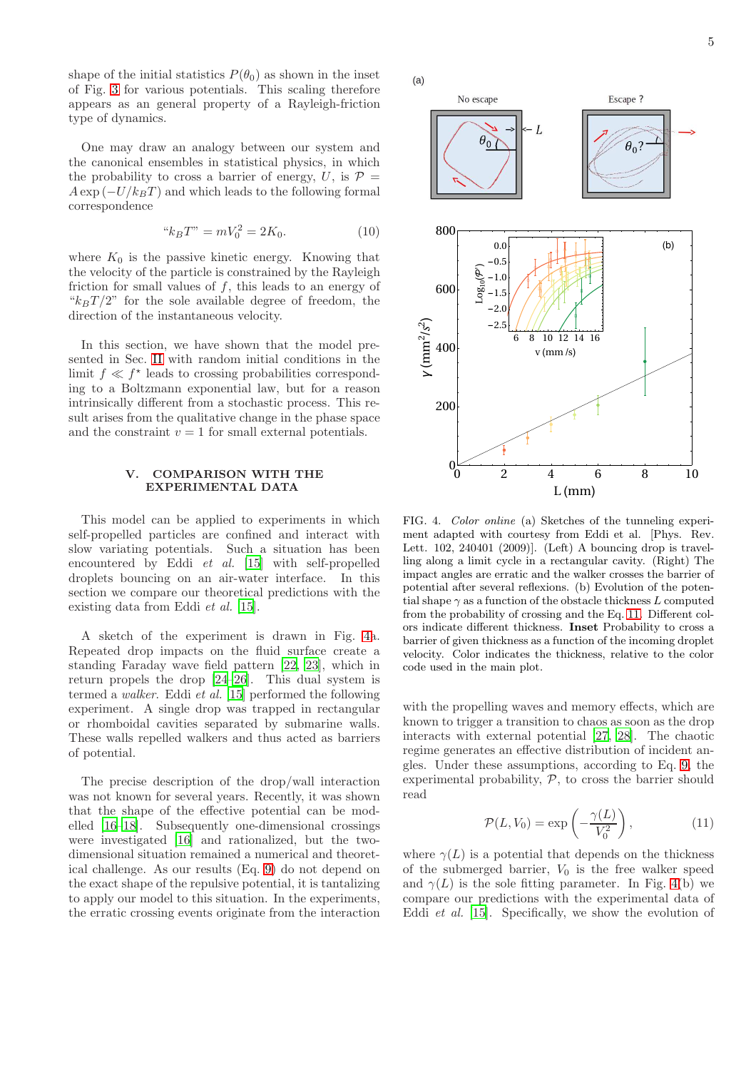shape of the initial statistics  $P(\theta_0)$  as shown in the inset of Fig. [3](#page-3-2) for various potentials. This scaling therefore appears as an general property of a Rayleigh-friction type of dynamics.

One may draw an analogy between our system and the canonical ensembles in statistical physics, in which the probability to cross a barrier of energy, U, is  $\mathcal{P} =$  $A \exp(-U/k_BT)$  and which leads to the following formal correspondence

$$
"k_B T" = mV_0^2 = 2K_0. \tag{10}
$$

where  $K_0$  is the passive kinetic energy. Knowing that the velocity of the particle is constrained by the Rayleigh friction for small values of  $f$ , this leads to an energy of " $k_BT/2$ " for the sole available degree of freedom, the direction of the instantaneous velocity.

In this section, we have shown that the model presented in Sec. [II](#page-1-0) with random initial conditions in the limit  $f \ll f^*$  leads to crossing probabilities corresponding to a Boltzmann exponential law, but for a reason intrinsically different from a stochastic process. This result arises from the qualitative change in the phase space and the constraint  $v = 1$  for small external potentials.

### <span id="page-4-0"></span>V. COMPARISON WITH THE EXPERIMENTAL DATA

This model can be applied to experiments in which self-propelled particles are confined and interact with slow variating potentials. Such a situation has been encountered by Eddi et al. [\[15\]](#page-6-1) with self-propelled droplets bouncing on an air-water interface. In this section we compare our theoretical predictions with the existing data from Eddi et al. [\[15](#page-6-1)].

A sketch of the experiment is drawn in Fig. [4a](#page-4-1). Repeated drop impacts on the fluid surface create a standing Faraday wave field pattern [\[22](#page-6-8), [23\]](#page-6-9), which in return propels the drop [\[24](#page-6-10)[–26](#page-6-11)]. This dual system is termed a walker. Eddi et al. [\[15\]](#page-6-1) performed the following experiment. A single drop was trapped in rectangular or rhomboidal cavities separated by submarine walls. These walls repelled walkers and thus acted as barriers of potential.

The precise description of the drop/wall interaction was not known for several years. Recently, it was shown that the shape of the effective potential can be modelled [\[16](#page-6-2)[–18\]](#page-6-4). Subsequently one-dimensional crossings were investigated [\[16\]](#page-6-2) and rationalized, but the twodimensional situation remained a numerical and theoretical challenge. As our results (Eq. [9\)](#page-3-3) do not depend on the exact shape of the repulsive potential, it is tantalizing to apply our model to this situation. In the experiments, the erratic crossing events originate from the interaction





<span id="page-4-1"></span>FIG. 4. Color online (a) Sketches of the tunneling experiment adapted with courtesy from Eddi et al. [Phys. Rev. Lett. 102, 240401 (2009)]. (Left) A bouncing drop is travelling along a limit cycle in a rectangular cavity. (Right) The impact angles are erratic and the walker crosses the barrier of potential after several reflexions. (b) Evolution of the potential shape  $\gamma$  as a function of the obstacle thickness L computed from the probability of crossing and the Eq. [11.](#page-4-2) Different colors indicate different thickness. Inset Probability to cross a barrier of given thickness as a function of the incoming droplet velocity. Color indicates the thickness, relative to the color code used in the main plot.

with the propelling waves and memory effects, which are known to trigger a transition to chaos as soon as the drop interacts with external potential [\[27,](#page-6-12) [28\]](#page-6-13). The chaotic regime generates an effective distribution of incident angles. Under these assumptions, according to Eq. [9,](#page-3-3) the experimental probability,  $P$ , to cross the barrier should read

<span id="page-4-2"></span>
$$
\mathcal{P}(L, V_0) = \exp\left(-\frac{\gamma(L)}{V_0^2}\right),\tag{11}
$$

where  $\gamma(L)$  is a potential that depends on the thickness of the submerged barrier,  $V_0$  is the free walker speed and  $\gamma(L)$  is the sole fitting parameter. In Fig. [4\(](#page-4-1)b) we compare our predictions with the experimental data of Eddi *et al.* [\[15](#page-6-1)]. Specifically, we show the evolution of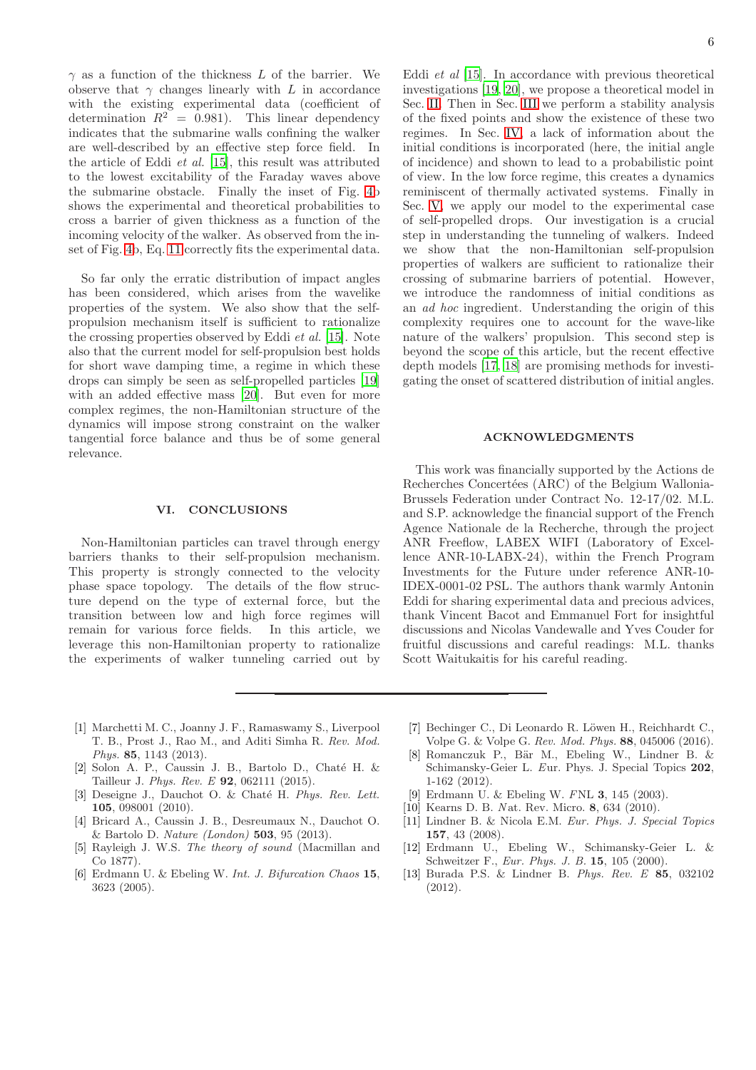$\gamma$  as a function of the thickness L of the barrier. We observe that  $\gamma$  changes linearly with L in accordance with the existing experimental data (coefficient of determination  $R^2 = 0.981$ . This linear dependency indicates that the submarine walls confining the walker are well-described by an effective step force field. In the article of Eddi et al. [\[15\]](#page-6-1), this result was attributed to the lowest excitability of the Faraday waves above the submarine obstacle. Finally the inset of Fig. [4b](#page-4-1) shows the experimental and theoretical probabilities to cross a barrier of given thickness as a function of the incoming velocity of the walker. As observed from the inset of Fig. [4b](#page-4-1), Eq. [11](#page-4-2) correctly fits the experimental data.

So far only the erratic distribution of impact angles has been considered, which arises from the wavelike properties of the system. We also show that the selfpropulsion mechanism itself is sufficient to rationalize the crossing properties observed by Eddi et al. [\[15\]](#page-6-1). Note also that the current model for self-propulsion best holds for short wave damping time, a regime in which these drops can simply be seen as self-propelled particles [\[19](#page-6-5)] with an added effective mass [\[20\]](#page-6-6). But even for more complex regimes, the non-Hamiltonian structure of the dynamics will impose strong constraint on the walker tangential force balance and thus be of some general relevance.

### <span id="page-5-11"></span>VI. CONCLUSIONS

Non-Hamiltonian particles can travel through energy barriers thanks to their self-propulsion mechanism. This property is strongly connected to the velocity phase space topology. The details of the flow structure depend on the type of external force, but the transition between low and high force regimes will remain for various force fields. In this article, we leverage this non-Hamiltonian property to rationalize the experiments of walker tunneling carried out by

investigations [\[19,](#page-6-5) [20\]](#page-6-6), we propose a theoretical model in Sec. [II.](#page-1-0) Then in Sec. [III](#page-1-1) we perform a stability analysis of the fixed points and show the existence of these two regimes. In Sec. [IV,](#page-3-0) a lack of information about the initial conditions is incorporated (here, the initial angle of incidence) and shown to lead to a probabilistic point of view. In the low force regime, this creates a dynamics reminiscent of thermally activated systems. Finally in Sec. [V,](#page-4-0) we apply our model to the experimental case of self-propelled drops. Our investigation is a crucial step in understanding the tunneling of walkers. Indeed we show that the non-Hamiltonian self-propulsion properties of walkers are sufficient to rationalize their crossing of submarine barriers of potential. However, we introduce the randomness of initial conditions as an ad hoc ingredient. Understanding the origin of this complexity requires one to account for the wave-like nature of the walkers' propulsion. This second step is beyond the scope of this article, but the recent effective depth models [\[17](#page-6-3), [18](#page-6-4)] are promising methods for investigating the onset of scattered distribution of initial angles.

### ACKNOWLEDGMENTS

This work was financially supported by the Actions de Recherches Concertées (ARC) of the Belgium Wallonia-Brussels Federation under Contract No. 12-17/02. M.L. and S.P. acknowledge the financial support of the French Agence Nationale de la Recherche, through the project ANR Freeflow, LABEX WIFI (Laboratory of Excellence ANR-10-LABX-24), within the French Program Investments for the Future under reference ANR-10- IDEX-0001-02 PSL. The authors thank warmly Antonin Eddi for sharing experimental data and precious advices, thank Vincent Bacot and Emmanuel Fort for insightful discussions and Nicolas Vandewalle and Yves Couder for fruitful discussions and careful readings: M.L. thanks Scott Waitukaitis for his careful reading.

- <span id="page-5-0"></span>[1] Marchetti M. C., Joanny J. F., Ramaswamy S., Liverpool T. B., Prost J., Rao M., and Aditi Simha R. Rev. Mod. Phys. 85, 1143 (2013).
- <span id="page-5-1"></span>[2] Solon A. P., Caussin J. B., Bartolo D., Chaté H. & Tailleur J. Phys. Rev. E 92, 062111 (2015).
- <span id="page-5-2"></span>[3] Deseigne J., Dauchot O. & Chaté H. Phys. Rev. Lett. 105, 098001 (2010).
- <span id="page-5-3"></span>[4] Bricard A., Caussin J. B., Desreumaux N., Dauchot O. & Bartolo D. Nature (London) 503, 95 (2013).
- <span id="page-5-4"></span>[5] Rayleigh J. W.S. The theory of sound (Macmillan and Co 1877).
- <span id="page-5-5"></span>[6] Erdmann U. & Ebeling W. Int. J. Bifurcation Chaos 15, 3623 (2005).
- <span id="page-5-6"></span>[7] Bechinger C., Di Leonardo R. Löwen H., Reichhardt C., Volpe G. & Volpe G. Rev. Mod. Phys. 88, 045006 (2016).
- [8] Romanczuk P., Bär M., Ebeling W., Lindner B. & Schimansky-Geier L. Eur. Phys. J. Special Topics 202, 1-162 (2012).
- [9] Erdmann U. & Ebeling W. FNL 3, 145 (2003).
- <span id="page-5-7"></span>[10] Kearns D. B. Nat. Rev. Micro. 8, 634 (2010).
- <span id="page-5-8"></span>[11] Lindner B. & Nicola E.M. Eur. Phys. J. Special Topics 157, 43 (2008).
- <span id="page-5-9"></span>[12] Erdmann U., Ebeling W., Schimansky-Geier L. & Schweitzer F., Eur. Phys. J. B. 15, 105 (2000).
- <span id="page-5-10"></span>[13] Burada P.S. & Lindner B. Phys. Rev. E 85, 032102 (2012).